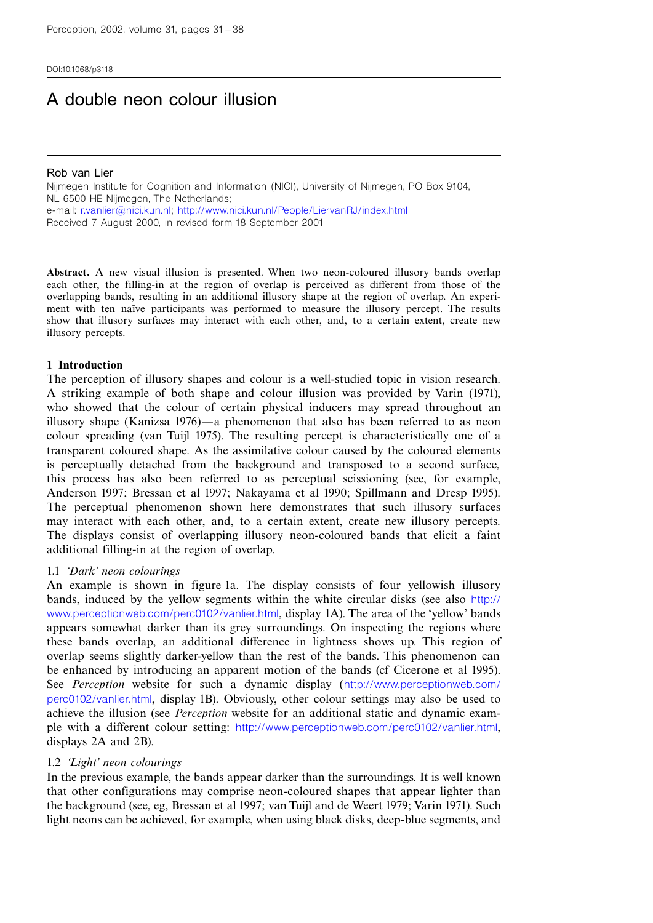DOI:10.1068/p3118

# A double neon colour illusion

Rob van Lier

Nijmegen Institute for Cognition and Information (NICI), University of Nijmegen, PO Box 9104, NL 6500 HE Nijmegen, The Netherlands; e-mail: [r.vanlier@nici.kun.nl](mailto:r.vanlier@nici.kun.nl); <http://www.nici.kun.nl/People/LiervanRJ/index.html> Received 7 August 2000, in revised form 18 September 2001

Abstract. A new visual illusion is presented. When two neon-coloured illusory bands overlap each other, the filling-in at the region of overlap is perceived as different from those of the overlapping bands, resulting in an additional illusory shape at the region of overlap. An experiment with ten naïve participants was performed to measure the illusory percept. The results show that illusory surfaces may interact with each other, and, to a certain extent, create new illusory percepts.

#### 1 Introduction

The perception of illusory shapes and colour is a well-studied topic in vision research. A striking example of both shape and colour illusion was provided by Varin (1971), who showed that the colour of certain physical inducers may spread throughout an illusory shape (Kanizsa 1976)—a phenomenon that also has been referred to as neon colour spreading (van Tuijl 1975). The resulting percept is characteristically one of a transparent coloured shape. As the assimilative colour caused by the coloured elements is perceptually detached from the background and transposed to a second surface, this process has also been referred to as perceptual scissioning (see, for example, Anderson 1997; Bressan et al 1997; Nakayama et al 1990; Spillmann and Dresp 1995). The perceptual phenomenon shown here demonstrates that such illusory surfaces may interact with each other, and, to a certain extent, create new illusory percepts. The displays consist of overlapping illusory neon-coloured bands that elicit a faint additional filling-in at the region of overlap.

## 1.1 `Dark' neon colourings

An example is shown in figure 1a. The display consists of four yellowish illusory bands, induced by the yellow segments within the white circular disks (see also [http://](http://www.perceptionweb.com/perc0102/vanlier.html) [www.perceptionweb.com/perc0102/vanlier.html](http://www.perceptionweb.com/perc0102/vanlier.html), display 1A). The area of the `yellow' bands appears somewhat darker than its grey surroundings. On inspecting the regions where these bands overlap, an additional difference in lightness shows up. This region of overlap seems slightly darker-yellow than the rest of the bands. This phenomenon can be enhanced by introducing an apparent motion of the bands (cf Cicerone et al 1995). See Perception website for such a dynamic display ([http://www.perceptionweb.com/](http://www.perceptionweb.com/perc0102/vanlier.html) [perc0102/vanlier.html](http://www.perceptionweb.com/perc0102/vanlier.html), display 1B). Obviously, other colour settings may also be used to achieve the illusion (see Perception website for an additional static and dynamic example with a different colour setting: <http://www.perceptionweb.com/perc0102/vanlier.html>, displays 2A and 2B).

#### 1.2 'Light' neon colourings

In the previous example, the bands appear darker than the surroundings. It is well known that other configurations may comprise neon-coloured shapes that appear lighter than the background (see, eg, Bressan et al 1997; van Tuijl and de Weert 1979; Varin 1971). Such light neons can be achieved, for example, when using black disks, deep-blue segments, and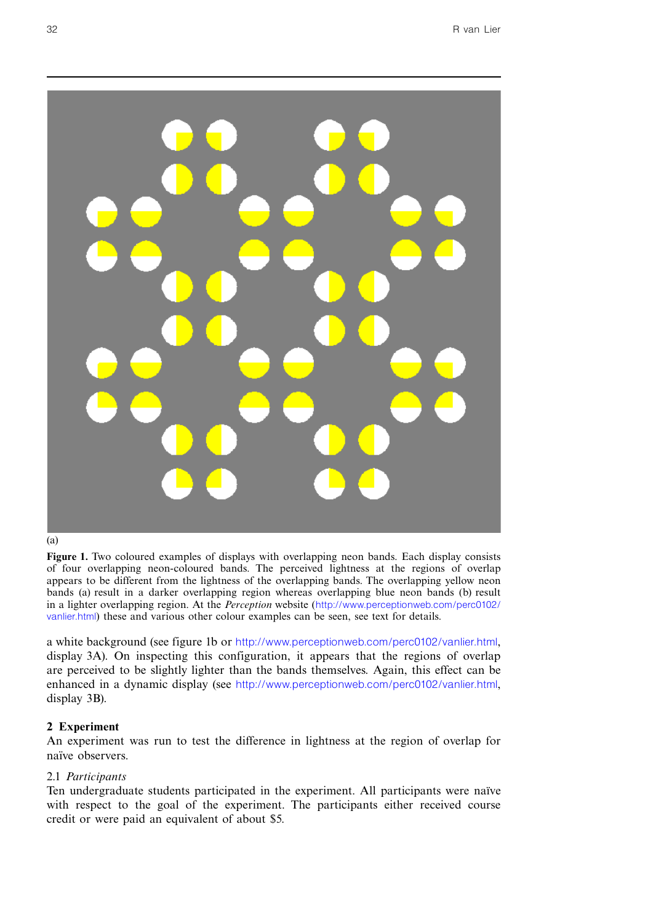

#### (a)

Figure 1. Two coloured examples of displays with overlapping neon bands. Each display consists of four overlapping neon-coloured bands. The perceived lightness at the regions of overlap appears to be different from the lightness of the overlapping bands. The overlapping yellow neon bands (a) result in a darker overlapping region whereas overlapping blue neon bands (b) result in a lighter overlapping region. At the Perception website ([http://www.perceptionweb.com/perc0102/](http://www.perceptionweb.com/perc0102/vanlier.html) [vanlier.html](http://www.perceptionweb.com/perc0102/vanlier.html)) these and various other colour examples can be seen, see text for details.

a white background (see figure 1b or <http://www.perceptionweb.com/perc0102/vanlier.html>, display 3A). On inspecting this configuration, it appears that the regions of overlap are perceived to be slightly lighter than the bands themselves. Again, this effect can be enhanced in a dynamic display (see <http://www.perceptionweb.com/perc0102/vanlier.html>, display 3B).

## 2 Experiment

An experiment was run to test the difference in lightness at the region of overlap for naïve observers.

## 2.1 Participants

Ten undergraduate students participated in the experiment. All participants were naïve with respect to the goal of the experiment. The participants either received course credit or were paid an equivalent of about \$5.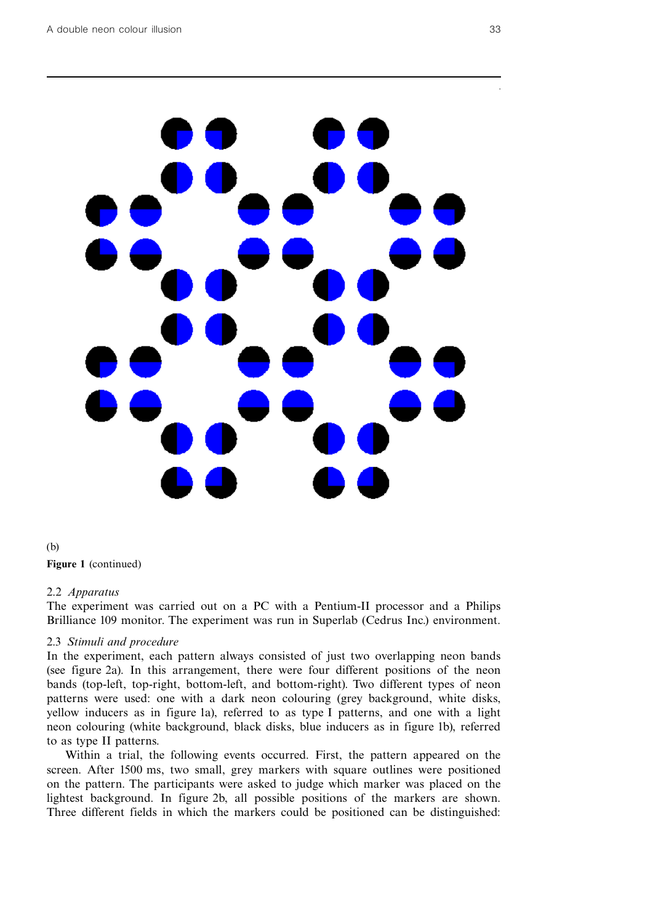#### (b)

Figure 1 (continued)

#### 2.2 Apparatus

The experiment was carried out on a PC with a Pentium-II processor and a Philips Brilliance 109 monitor. The experiment was run in Superlab (Cedrus Inc.) environment.

#### 2.3 Stimuli and procedure

In the experiment, each pattern always consisted of just two overlapping neon bands (see figure 2a). In this arrangement, there were four different positions of the neon bands (top-left, top-right, bottom-left, and bottom-right). Two different types of neon patterns were used: one with a dark neon colouring (grey background, white disks, yellow inducers as in figure 1a), referred to as type I patterns, and one with a light neon colouring (white background, black disks, blue inducers as in figure 1b), referred to as type II patterns.

Within a trial, the following events occurred. First, the pattern appeared on the screen. After 1500 ms, two small, grey markers with square outlines were positioned on the pattern. The participants were asked to judge which marker was placed on the lightest background. In figure 2b, all possible positions of the markers are shown. Three different fields in which the markers could be positioned can be distinguished: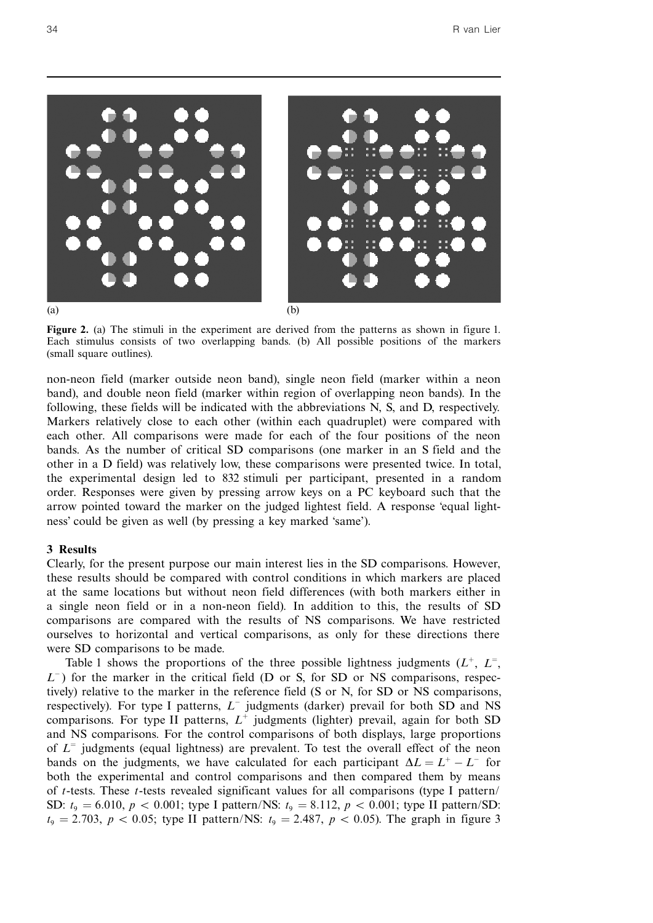

Figure 2. (a) The stimuli in the experiment are derived from the patterns as shown in figure 1. Each stimulus consists of two overlapping bands. (b) All possible positions of the markers (small square outlines).

non-neon field (marker outside neon band), single neon field (marker within a neon band), and double neon field (marker within region of overlapping neon bands). In the following, these fields will be indicated with the abbreviations N, S, and D, respectively. Markers relatively close to each other (within each quadruplet) were compared with each other. All comparisons were made for each of the four positions of the neon bands. As the number of critical SD comparisons (one marker in an S field and the other in a D field) was relatively low, these comparisons were presented twice. In total, the experimental design led to 832 stimuli per participant, presented in a random order. Responses were given by pressing arrow keys on a PC keyboard such that the arrow pointed toward the marker on the judged lightest field. A response 'equal lightness' could be given as well (by pressing a key marked `same').

#### 3 Results

Clearly, for the present purpose our main interest lies in the SD comparisons. However, these results should be compared with control conditions in which markers are placed at the same locations but without neon field differences (with both markers either in a single neon field or in a non-neon field). In addition to this, the results of SD comparisons are compared with the results of NS comparisons. We have restricted ourselves to horizontal and vertical comparisons, as only for these directions there were SD comparisons to be made.

Table 1 shows the proportions of the three possible lightness judgments  $(L^+, L^-, L^-)$  $L^-$ ) for the marker in the critical field (D or S, for SD or NS comparisons, respectively) relative to the marker in the reference field (S or N, for SD or NS comparisons, respectively). For type I patterns,  $L^-$  judgments (darker) prevail for both SD and NS comparisons. For type II patterns,  $L^+$  judgments (lighter) prevail, again for both SD and NS comparisons. For the control comparisons of both displays, large proportions of  $L^=$  judgments (equal lightness) are prevalent. To test the overall effect of the neon bands on the judgments, we have calculated for each participant  $\Delta L = L^{+} - L^{-}$  for both the experimental and control comparisons and then compared them by means of  $t$ -tests. These  $t$ -tests revealed significant values for all comparisons (type I pattern/ SD:  $t_9 = 6.010$ ,  $p < 0.001$ ; type I pattern/NS:  $t_9 = 8.112$ ,  $p < 0.001$ ; type II pattern/SD:  $t_9 = 2.703$ ,  $p < 0.05$ ; type II pattern/NS:  $t_9 = 2.487$ ,  $p < 0.05$ ). The graph in figure 3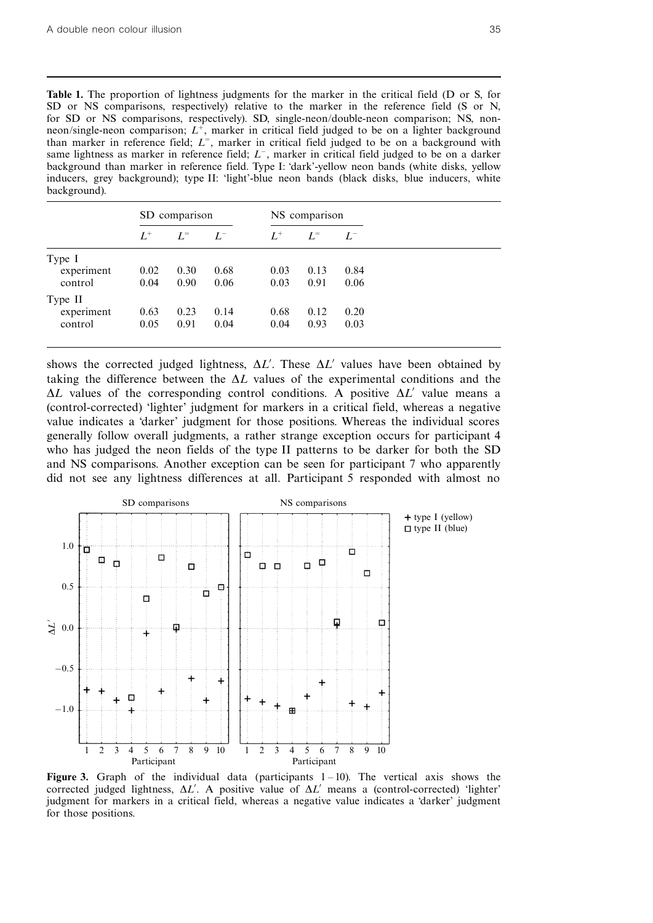| <b>Table 1.</b> The proportion of lightness judgments for the marker in the critical field (D or S, for    |
|------------------------------------------------------------------------------------------------------------|
| SD or NS comparisons, respectively) relative to the marker in the reference field (S or N,                 |
| for SD or NS comparisons, respectively). SD, single-neon/double-neon comparison; NS, non-                  |
| neon/single-neon comparison; $L^+$ , marker in critical field judged to be on a lighter background         |
| than marker in reference field; $L^{\dagger}$ , marker in critical field judged to be on a background with |
| same lightness as marker in reference field; $L^{-}$ , marker in critical field judged to be on a darker   |
| background than marker in reference field. Type I: 'dark'-yellow neon bands (white disks, yellow           |
| inducers, grey background); type II: 'light'-blue neon bands (black disks, blue inducers, white            |
| background).                                                                                               |
|                                                                                                            |

|            | SD comparison |       |       |       | NS comparison |       |  |
|------------|---------------|-------|-------|-------|---------------|-------|--|
|            | $L^+$         | $L^=$ | $L^-$ | $L^+$ | $L^=$         | $L^-$ |  |
| Type I     |               |       |       |       |               |       |  |
| experiment | 0.02          | 0.30  | 0.68  | 0.03  | 0.13          | 0.84  |  |
| control    | 0.04          | 0.90  | 0.06  | 0.03  | 0.91          | 0.06  |  |
| Type II    |               |       |       |       |               |       |  |
| experiment | 0.63          | 0.23  | 0.14  | 0.68  | 0.12          | 0.20  |  |
| control    | 0.05          | 0.91  | 0.04  | 0.04  | 0.93          | 0.03  |  |
|            |               |       |       |       |               |       |  |

shows the corrected judged lightness,  $\Delta L'$ . These  $\Delta L'$  values have been obtained by taking the difference between the  $\Delta L$  values of the experimental conditions and the  $\Delta L$  values of the corresponding control conditions. A positive  $\Delta L'$  value means a (control-corrected) `lighter' judgment for markers in a critical field, whereas a negative value indicates a `darker' judgment for those positions. Whereas the individual scores generally follow overall judgments, a rather strange exception occurs for participant 4 who has judged the neon fields of the type II patterns to be darker for both the SD and NS comparisons. Another exception can be seen for participant 7 who apparently did not see any lightness differences at all. Participant 5 responded with almost no



**Figure 3.** Graph of the individual data (participants  $1 - 10$ ). The vertical axis shows the corrected judged lightness,  $\Delta L'$ . A positive value of  $\Delta L'$  means a (control-corrected) 'lighter' judgment for markers in a critical field, whereas a negative value indicates a 'darker' judgment for those positions.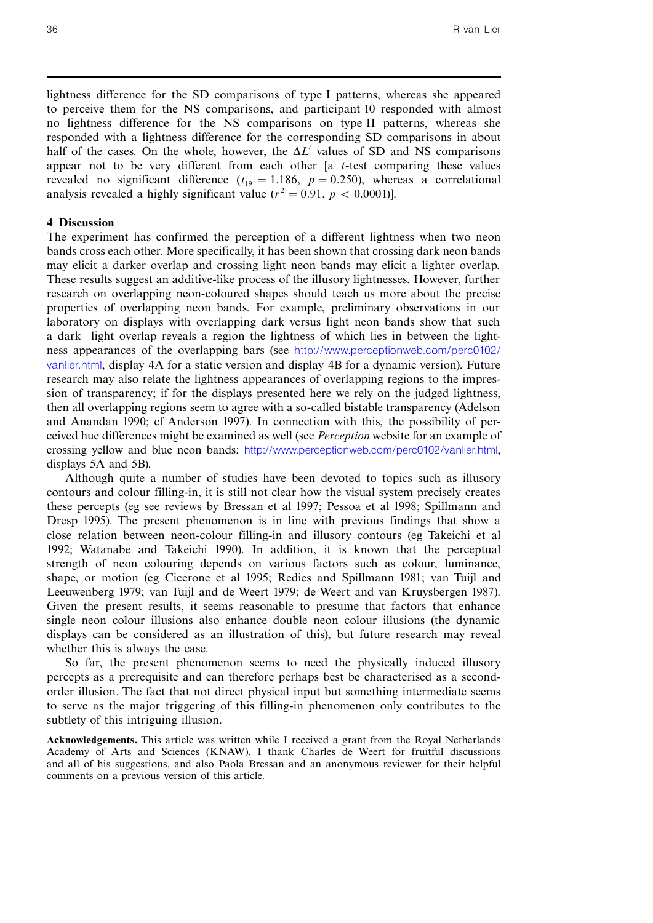lightness difference for the SD comparisons of type I patterns, whereas she appeared to perceive them for the NS comparisons, and participant 10 responded with almost no lightness difference for the NS comparisons on type II patterns, whereas she responded with a lightness difference for the corresponding SD comparisons in about half of the cases. On the whole, however, the  $\Delta L'$  values of SD and NS comparisons appear not to be very different from each other  $[a \ t-test$  comparing these values revealed no significant difference ( $t_{19} = 1.186$ ,  $p = 0.250$ ), whereas a correlational analysis revealed a highly significant value ( $r^2 = 0.91$ ,  $p < 0.0001$ )].

#### 4 Discussion

The experiment has confirmed the perception of a different lightness when two neon bands cross each other. More specifically, it has been shown that crossing dark neon bands may elicit a darker overlap and crossing light neon bands may elicit a lighter overlap. These results suggest an additive-like process of the illusory lightnesses. However, further research on overlapping neon-coloured shapes should teach us more about the precise properties of overlapping neon bands. For example, preliminary observations in our laboratory on displays with overlapping dark versus light neon bands show that such a dark - light overlap reveals a region the lightness of which lies in between the lightness appearances of the overlapping bars (see [http://www.perceptionweb.com/perc0102/](http://www.perceptionweb.com/perc0102/vanlier.html) [vanlier.html](http://www.perceptionweb.com/perc0102/vanlier.html), display 4A for a static version and display 4B for a dynamic version). Future research may also relate the lightness appearances of overlapping regions to the impression of transparency; if for the displays presented here we rely on the judged lightness, then all overlapping regions seem to agree with a so-called bistable transparency (Adelson and Anandan 1990; cf Anderson 1997). In connection with this, the possibility of perceived hue differences might be examined as well (see Perception website for an example of crossing yellow and blue neon bands; <http://www.perceptionweb.com/perc0102/vanlier.html>, displays 5A and 5B).

Although quite a number of studies have been devoted to topics such as illusory contours and colour filling-in, it is still not clear how the visual system precisely creates these percepts (eg see reviews by Bressan et al 1997; Pessoa et al 1998; Spillmann and Dresp 1995). The present phenomenon is in line with previous findings that show a close relation between neon-colour filling-in and illusory contours (eg Takeichi et al 1992; Watanabe and Takeichi 1990). In addition, it is known that the perceptual strength of neon colouring depends on various factors such as colour, luminance, shape, or motion (eg Cicerone et al 1995; Redies and Spillmann 1981; van Tuijl and Leeuwenberg 1979; van Tuijl and de Weert 1979; de Weert and van Kruysbergen 1987). Given the present results, it seems reasonable to presume that factors that enhance single neon colour illusions also enhance double neon colour illusions (the dynamic displays can be considered as an illustration of this), but future research may reveal whether this is always the case.

So far, the present phenomenon seems to need the physically induced illusory percepts as a prerequisite and can therefore perhaps best be characterised as a secondorder illusion. The fact that not direct physical input but something intermediate seems to serve as the major triggering of this filling-in phenomenon only contributes to the subtlety of this intriguing illusion.

Acknowledgements. This article was written while I received a grant from the Royal Netherlands Academy of Arts and Sciences (KNAW). I thank Charles de Weert for fruitful discussions and all of his suggestions, and also Paola Bressan and an anonymous reviewer for their helpful comments on a previous version of this article.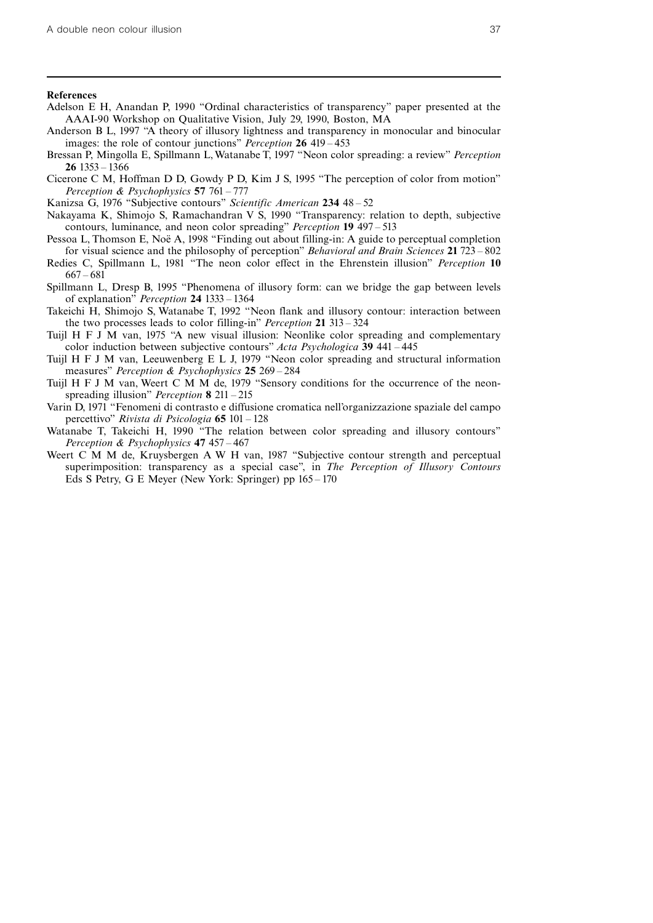#### References

- Adelson E H, Anandan P, 1990 "Ordinal characteristics of transparency" paper presented at the AAAI-90 Workshop on Qualitative Vision, July 29, 1990, Boston, MA
- Anderson B L, 1997 "A theory of illusory lightness and transparency in monocular and binocular images: the role of contour junctions" *Perception* 26 419 – 453
- Bressan P, Mingolla E, Spillmann L, Watanabe T, 1997 "Neon color spreading: a review" Perception  $26$  1353  $-$  1366
- Cicerone C M, Hoffman D D, Gowdy P D, Kim J S, 1995 "The perception of color from motion" Perception & Psychophysics  $57$  761 - 777
- Kanizsa G, 1976 "Subjective contours" Scientific American 234 48 52
- Nakayama K, Shimojo S, Ramachandran V S, 1990 "Transparency: relation to depth, subjective contours, luminance, and neon color spreading" *Perception* 19 497 – 513
- Pessoa L, Thomson E, Noë A, 1998 "Finding out about filling-in: A guide to perceptual completion for visual science and the philosophy of perception" Behavioral and Brain Sciences 21 723 - 802
- Redies C, Spillmann L, 1981 "The neon color effect in the Ehrenstein illusion" Perception 10  $667 - 681$
- Spillmann L, Dresp B, 1995 "Phenomena of illusory form: can we bridge the gap between levels of explanation" Perception 24 1333 - 1364
- Takeichi H, Shimojo S, Watanabe T, 1992 "Neon flank and illusory contour: interaction between the two processes leads to color filling-in" *Perception*  $21 \frac{313 - 324}{510}$
- Tuijl H F J M van, 1975 "A new visual illusion: Neonlike color spreading and complementary color induction between subjective contours"  $Acta$  Psychologica 39 441 - 445
- Tuijl H F J M van, Leeuwenberg E L J, 1979 "Neon color spreading and structural information measures" Perception & Psychophysics 25 269 - 284
- Tuijl H F J M van, Weert C M M de, 1979 "Sensory conditions for the occurrence of the neonspreading illusion" Perception  $8$  211  $-$  215
- Varin D, 1971 "Fenomeni di contrasto e diffusione cromatica nell'organizzazione spaziale del campo percettivo'' Rivista di Psicologia 65 101 ^ 128
- Watanabe T, Takeichi H, 1990 "The relation between color spreading and illusory contours" Perception & Psychophysics  $47 \frac{457 - 467}{457}$
- Weert C M M de, Kruysbergen A W H van, 1987 "Subjective contour strength and perceptual superimposition: transparency as a special case", in The Perception of Illusory Contours Eds S Petry, G E Meyer (New York: Springer) pp  $165 - 170$